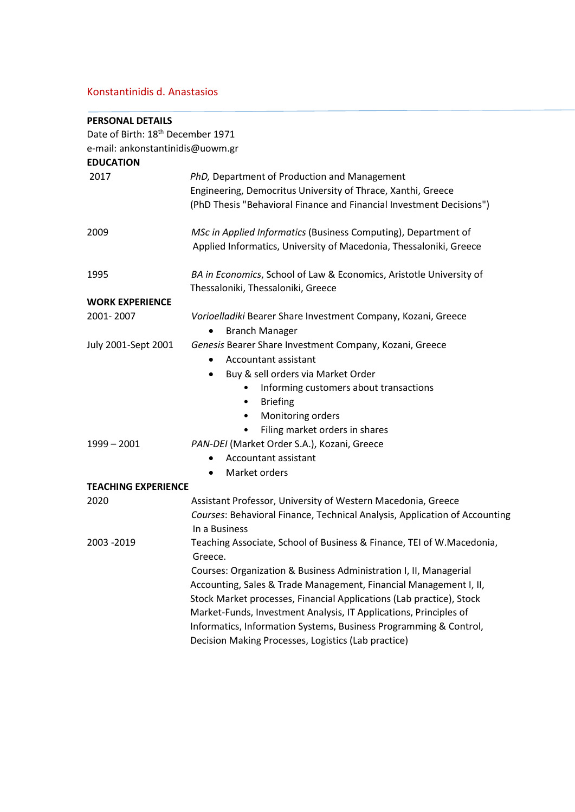# Konstantinidis d. Anastasios

| <b>PERSONAL DETAILS</b>                       |                                                                                                                                                                                                                                                                                                                                                                                                                                                                                                     |
|-----------------------------------------------|-----------------------------------------------------------------------------------------------------------------------------------------------------------------------------------------------------------------------------------------------------------------------------------------------------------------------------------------------------------------------------------------------------------------------------------------------------------------------------------------------------|
| Date of Birth: 18 <sup>th</sup> December 1971 |                                                                                                                                                                                                                                                                                                                                                                                                                                                                                                     |
| e-mail: ankonstantinidis@uowm.gr              |                                                                                                                                                                                                                                                                                                                                                                                                                                                                                                     |
| <b>EDUCATION</b>                              |                                                                                                                                                                                                                                                                                                                                                                                                                                                                                                     |
| 2017                                          | PhD, Department of Production and Management<br>Engineering, Democritus University of Thrace, Xanthi, Greece<br>(PhD Thesis "Behavioral Finance and Financial Investment Decisions")                                                                                                                                                                                                                                                                                                                |
| 2009                                          | MSc in Applied Informatics (Business Computing), Department of<br>Applied Informatics, University of Macedonia, Thessaloniki, Greece                                                                                                                                                                                                                                                                                                                                                                |
| 1995                                          | BA in Economics, School of Law & Economics, Aristotle University of<br>Thessaloniki, Thessaloniki, Greece                                                                                                                                                                                                                                                                                                                                                                                           |
| <b>WORK EXPERIENCE</b>                        |                                                                                                                                                                                                                                                                                                                                                                                                                                                                                                     |
| 2001-2007                                     | Vorioelladiki Bearer Share Investment Company, Kozani, Greece<br><b>Branch Manager</b>                                                                                                                                                                                                                                                                                                                                                                                                              |
| July 2001-Sept 2001                           | Genesis Bearer Share Investment Company, Kozani, Greece<br>Accountant assistant<br>$\bullet$<br>Buy & sell orders via Market Order<br>$\bullet$<br>Informing customers about transactions<br><b>Briefing</b><br>$\bullet$<br>Monitoring orders<br>$\bullet$<br>Filing market orders in shares<br>٠                                                                                                                                                                                                  |
| $1999 - 2001$                                 | PAN-DEI (Market Order S.A.), Kozani, Greece<br>Accountant assistant<br>٠<br>Market orders<br>$\bullet$                                                                                                                                                                                                                                                                                                                                                                                              |
| <b>TEACHING EXPERIENCE</b>                    |                                                                                                                                                                                                                                                                                                                                                                                                                                                                                                     |
| 2020                                          | Assistant Professor, University of Western Macedonia, Greece<br>Courses: Behavioral Finance, Technical Analysis, Application of Accounting<br>In a Business                                                                                                                                                                                                                                                                                                                                         |
| 2003 - 2019                                   | Teaching Associate, School of Business & Finance, TEI of W.Macedonia,<br>Greece.<br>Courses: Organization & Business Administration I, II, Managerial<br>Accounting, Sales & Trade Management, Financial Management I, II,<br>Stock Market processes, Financial Applications (Lab practice), Stock<br>Market-Funds, Investment Analysis, IT Applications, Principles of<br>Informatics, Information Systems, Business Programming & Control,<br>Decision Making Processes, Logistics (Lab practice) |